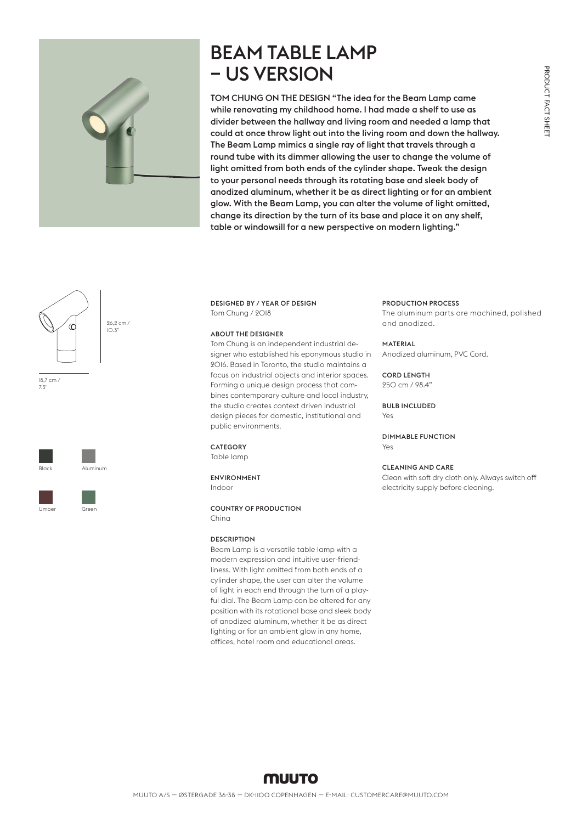

## BEAM TABLE LAMP – US VERSION

TOM CHUNG ON THE DESIGN "The idea for the Beam Lamp came while renovating my childhood home. I had made a shelf to use as divider between the hallway and living room and needed a lamp that could at once throw light out into the living room and down the hallway. The Beam Lamp mimics a single ray of light that travels through a round tube with its dimmer allowing the user to change the volume of light omitted from both ends of the cylinder shape. Tweak the design to your personal needs through its rotating base and sleek body of anodized aluminum, whether it be as direct lighting or for an ambient glow. With the Beam Lamp, you can alter the volume of light omitted, change its direction by the turn of its base and place it on any shelf, table or windowsill for a new perspective on modern lighting."



18,7 cm / 7.3"





DESIGNED BY / YEAR OF DESIGN Tom Chung / 2018

## ABOUT THE DESIGNER

Tom Chung is an independent industrial designer who established his eponymous studio in 2016. Based in Toronto, the studio maintains a focus on industrial objects and interior spaces. Forming a unique design process that combines contemporary culture and local industry, the studio creates context driven industrial design pieces for domestic, institutional and public environments.

## **CATEGORY**

Table lamp

ENVIRONMENT Indoor

COUNTRY OF PRODUCTION

China

### **DESCRIPTION**

Beam Lamp is a versatile table lamp with a modern expression and intuitive user-friendliness. With light omitted from both ends of a cylinder shape, the user can alter the volume of light in each end through the turn of a playful dial. The Beam Lamp can be altered for any position with its rotational base and sleek body of anodized aluminum, whether it be as direct lighting or for an ambient glow in any home. offices, hotel room and educational areas.

### PRODUCTION PROCESS

The aluminum parts are machined, polished and anodized.

### **MATERIAL**

Anodized aluminum, PVC Cord.

#### **CORD LENGTH** 250 cm / 98.4"

## BULB INCLUDED

**Y**es

DIMMABLE FUNCTION Yes

## CLEANING AND CARE

Clean with soft dry cloth only. Always switch off electricity supply before cleaning.